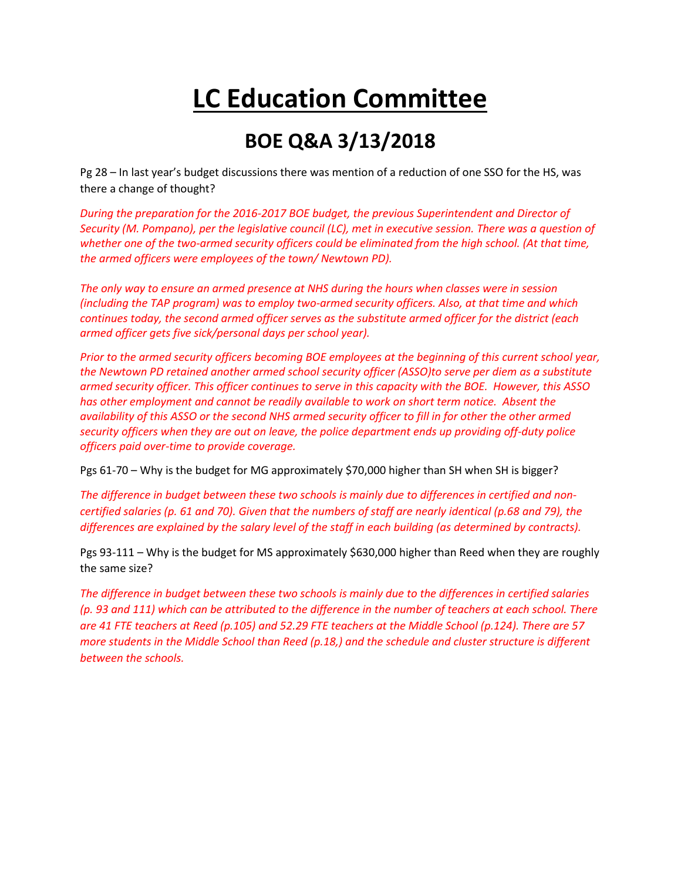## **LC Education Committee**

## **BOE Q&A 3/13/2018**

Pg 28 – In last year's budget discussions there was mention of a reduction of one SSO for the HS, was there a change of thought?

*During the preparation for the 2016-2017 BOE budget, the previous Superintendent and Director of Security (M. Pompano), per the legislative council (LC), met in executive session. There was a question of whether one of the two-armed security officers could be eliminated from the high school. (At that time, the armed officers were employees of the town/ Newtown PD).* 

*The only way to ensure an armed presence at NHS during the hours when classes were in session (including the TAP program) was to employ two-armed security officers. Also, at that time and which continues today, the second armed officer serves as the substitute armed officer for the district (each armed officer gets five sick/personal days per school year).*

*Prior to the armed security officers becoming BOE employees at the beginning of this current school year, the Newtown PD retained another armed school security officer (ASSO)to serve per diem as a substitute armed security officer. This officer continues to serve in this capacity with the BOE. However, this ASSO has other employment and cannot be readily available to work on short term notice. Absent the availability of this ASSO or the second NHS armed security officer to fill in for other the other armed security officers when they are out on leave, the police department ends up providing off-duty police officers paid over-time to provide coverage.*

Pgs 61-70 – Why is the budget for MG approximately \$70,000 higher than SH when SH is bigger?

*The difference in budget between these two schools is mainly due to differences in certified and noncertified salaries (p. 61 and 70). Given that the numbers of staff are nearly identical (p.68 and 79), the differences are explained by the salary level of the staff in each building (as determined by contracts).*

Pgs 93-111 – Why is the budget for MS approximately \$630,000 higher than Reed when they are roughly the same size?

*The difference in budget between these two schools is mainly due to the differences in certified salaries (p. 93 and 111) which can be attributed to the difference in the number of teachers at each school. There are 41 FTE teachers at Reed (p.105) and 52.29 FTE teachers at the Middle School (p.124). There are 57 more students in the Middle School than Reed (p.18,) and the schedule and cluster structure is different between the schools.*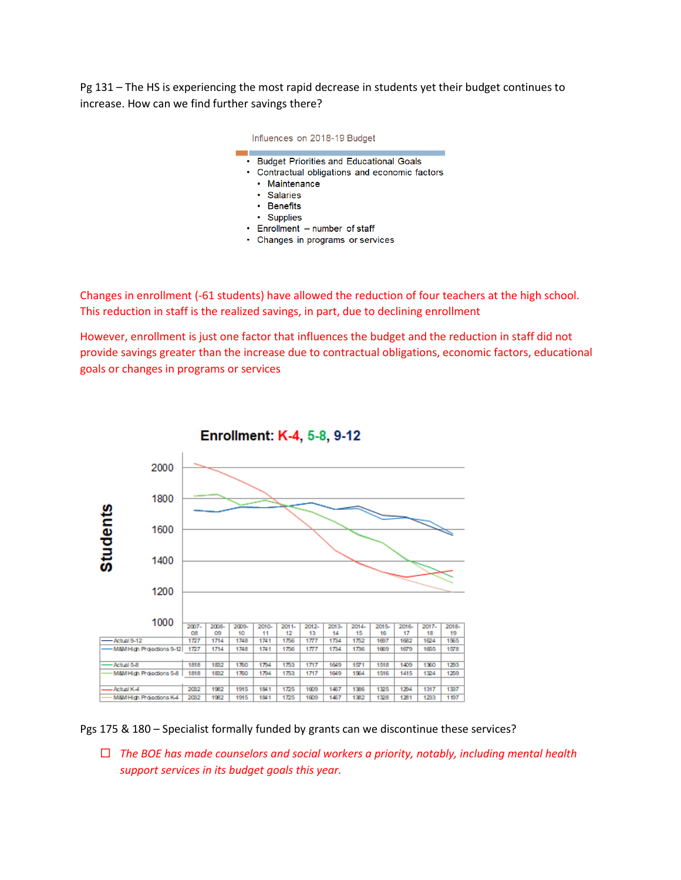Pg 131 – The HS is experiencing the most rapid decrease in students yet their budget continues to increase. How can we find further savings there?

| Influences on 2018-19 Budget                                                                                                                                                                                                                 |
|----------------------------------------------------------------------------------------------------------------------------------------------------------------------------------------------------------------------------------------------|
| <b>Budget Priorities and Educational Goals</b><br>• Contractual obligations and economic factors<br>• Maintenance<br>• Salaries<br>$\cdot$ Benefits<br>$\cdot$ Supplies<br>• Enrollment - number of staff<br>Changes in programs or services |

Changes in enrollment (-61 students) have allowed the reduction of four teachers at the high school. This reduction in staff is the realized savings, in part, due to declining enrollment

However, enrollment is just one factor that influences the budget and the reduction in staff did not provide savings greater than the increase due to contractual obligations, economic factors, educational goals or changes in programs or services



Pgs 175 & 180 – Specialist formally funded by grants can we discontinue these services?

 *The BOE has made counselors and social workers a priority, notably, including mental health support services in its budget goals this year.*